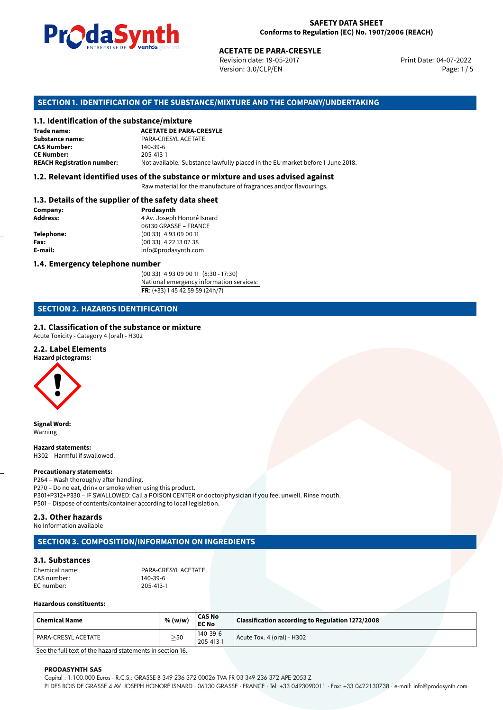

Revision date: 19-05-2017 Version: 3.0/CLP/EN Page: 1 / 5

Print Date: 04-07-2022

# **SECTION 1. IDENTIFICATION OF THE SUBSTANCE/MIXTURE AND THE COMPANY/UNDERTAKING**

#### **1.1. Identification of the substance/mixture**

|                                              | LIVING THE DE <b>DE VOINUS</b> SUSSESSI | <b>ACETATE DE PARA-CRESYLE</b><br>Revision date: 19-05-2017<br>Version: 3.0/CLP/EN |  |
|----------------------------------------------|-----------------------------------------|------------------------------------------------------------------------------------|--|
|                                              |                                         | SECTION 1. IDENTIFICATION OF THE SUBSTANCE/MIXTURE AND THE COMPANY/UNDERTAKII      |  |
| 1.1. Identification of the substance/mixture |                                         |                                                                                    |  |
| Trade name:                                  | <b>ACETATE DE PARA-CRESYLE</b>          |                                                                                    |  |
| Substance name:                              | PARA-CRESYL ACETATE                     |                                                                                    |  |
| <b>CAS Number:</b>                           | 140-39-6                                |                                                                                    |  |
| <b>CE Number:</b>                            | 205-413-1                               |                                                                                    |  |
| <b>REACH Registration number:</b>            |                                         | Not available. Substance lawfully placed in the EU market before 1 June 2018.      |  |
|                                              |                                         |                                                                                    |  |

#### **1.2. Relevant identified uses of the substance or mixture and uses advised against**

Raw material for the manufacture of fragrances and/or flavourings.

# **1.3. Details of the supplier of the safety data sheet**

| Company:          | Prodasynth                 |  |  |
|-------------------|----------------------------|--|--|
| <b>Address:</b>   | 4 Av. Joseph Honoré Isnard |  |  |
|                   | 06130 GRASSE - FRANCE      |  |  |
| <b>Telephone:</b> | $(0033)$ 4 93 09 00 11     |  |  |
| Fax:              | (00 33) 4 22 13 07 38      |  |  |
| E-mail:           | info@prodasynth.com        |  |  |
|                   |                            |  |  |

#### **1.4. Emergency telephone number**

(00 33) 4 93 09 00 11 (8:30 - 17:30) National emergency information services: **FR**: (+33) 1 45 42 59 59 (24h/7)

# **SECTION 2. HAZARDS IDENTIFICATION**

### **2.1. Classification of the substance or mixture**

Acute Toxicity - Category 4 (oral) - H302

#### **2.2. Label Elements**

**Hazard pictograms:**



**Signal Word:** Warning

#### **Hazard statements:**

H302 – Harmful if swallowed.

#### **Precautionary statements:**

P264 – Wash thoroughly after handling. P270 – Do no eat, drink or smoke when using this product. P301+P312+P330 – IF SWALLOWED: Call a POISON CENTER or doctor/physician if you feel unwell. Rinse mouth. P501 – Dispose of contents/container according to local legislation.

#### **2.3. Other hazards**

No Information available

# **SECTION 3. COMPOSITION/INFORMATION ON INGREDIENTS**

#### **3.1. Substances**

| Chemical name: | PARA-CRESYL ACETATE |
|----------------|---------------------|
| CAS number:    | $140 - 39 - 6$      |
| EC number:     | 205-413-1           |

#### **Hazardous constituents:**

| Chemical Name       | % (w/w)     | <b>CAS No</b><br><b>EC No</b> | Classification according to Regulation 1272/2008 |  |
|---------------------|-------------|-------------------------------|--------------------------------------------------|--|
| PARA-CRESYL ACETATE | $>$ 50<br>_ | 140-39-6<br>205-413-1         | Acute Tox. 4 (oral) - H302                       |  |

[See the full text of the hazard statements in section 16.](#page--1-0)

#### **PRODASYNTH SAS**

Capital : 1.100.000 Euros · R.C.S.: GRASSE B 349 236 372 00026 TVA FR 03 349 236 372 APE 2053 Z PI DES BOIS DE GRASSE 4 AV. JOSEPH HONORÉ ISNARD · 06130 GRASSE · FRANCE · Tel: +33 0493090011 · Fax: +33 0422130738 · e-mail: info@prodasynth.com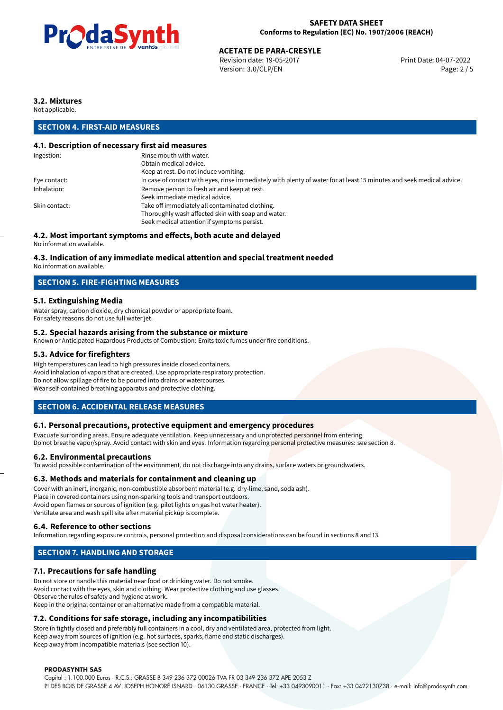

# **ACETATE DE PARA-CRESYLE**<br>
Revision date: 19-05-2017<br> **Print Date: 04-07-2022**

Revision date: 19-05-2017 Version: 3.0/CLP/EN Page: 2 / 5

# **3.2. Mixtures**

Not applicable.

# **SECTION 4. FIRST-AID MEASURES**

# **4.1. Description of necessary first aid measures**

| Rinse mouth with water.                                                                                               |  |  |
|-----------------------------------------------------------------------------------------------------------------------|--|--|
| Obtain medical advice.                                                                                                |  |  |
| Keep at rest. Do not induce vomiting.                                                                                 |  |  |
| In case of contact with eyes, rinse immediately with plenty of water for at least 15 minutes and seek medical advice. |  |  |
| Remove person to fresh air and keep at rest.                                                                          |  |  |
| Seek immediate medical advice.                                                                                        |  |  |
| Take off immediately all contaminated clothing.                                                                       |  |  |
| Thoroughly wash affected skin with soap and water.                                                                    |  |  |
| Seek medical attention if symptoms persist.                                                                           |  |  |
|                                                                                                                       |  |  |

# **4.2. Most important symptoms and effects, both acute and delayed**

No information available.

# **4.3. Indication of any immediate medical attention and special treatment needed**

No information available.

# **SECTION 5. FIRE-FIGHTING MEASURES**

# **5.1. Extinguishing Media**

Water spray, carbon dioxide, dry chemical powder or appropriate foam. For safety reasons do not use full water jet.

#### **5.2. Special hazards arising from the substance or mixture**

Known or Anticipated Hazardous Products of Combustion: Emits toxic fumes under fire conditions.

### **5.3. Advice for firefighters**

High temperatures can lead to high pressures inside closed containers. Avoid inhalation of vapors that are created. Use appropriate respiratory protection. Do not allow spillage of fire to be poured into drains or watercourses. Wear self-contained breathing apparatus and protective clothing.

# **SECTION 6. ACCIDENTAL RELEASE MEASURES**

#### **6.1. Personal precautions, protective equipment and emergency procedures**

Evacuate surronding areas. Ensure adequate ventilation. Keep unnecessary and unprotected personnel from entering. Do not breathe vapor/spray. Avoid contact with skin and eyes. Information regarding personal protective measures: see section 8.

#### **6.2. Environmental precautions**

To avoid possible contamination of the environment, do not discharge into any drains, surface waters or groundwaters.

#### **6.3. Methods and materials for containment and cleaning up**

Cover with an inert, inorganic, non-combustible absorbent material (e.g. dry-lime, sand, soda ash). Place in covered containers using non-sparking tools and transport outdoors. Avoid open flames or sources of ignition (e.g. pilot lights on gas hot water heater). Ventilate area and wash spill site after material pickup is complete.

#### **6.4. Reference to other sections**

Information regarding exposure controls, personal protection and disposal considerations can be found in sections 8 and 13.

# **SECTION 7. HANDLING AND STORAGE**

# **7.1. Precautions for safe handling**

Do not store or handle this material near food or drinking water. Do not smoke. Avoid contact with the eyes, skin and clothing. Wear protective clothing and use glasses. Observe the rules of safety and hygiene at work. Keep in the original container or an alternative made from a compatible material.

# **7.2. Conditions for safe storage, including any incompatibilities**

Store in tightly closed and preferably full containers in a cool, dry and ventilated area, protected from light. Keep away from sources of ignition (e.g. hot surfaces, sparks, flame and static discharges). Keep away from incompatible materials (see section 10).

#### **PRODASYNTH SAS**

Capital : 1.100.000 Euros · R.C.S.: GRASSE B 349 236 372 00026 TVA FR 03 349 236 372 APE 2053 Z PI DES BOIS DE GRASSE 4 AV. JOSEPH HONORÉ ISNARD · 06130 GRASSE · FRANCE · Tel: +33 0493090011 · Fax: +33 0422130738 · e-mail: info@prodasynth.com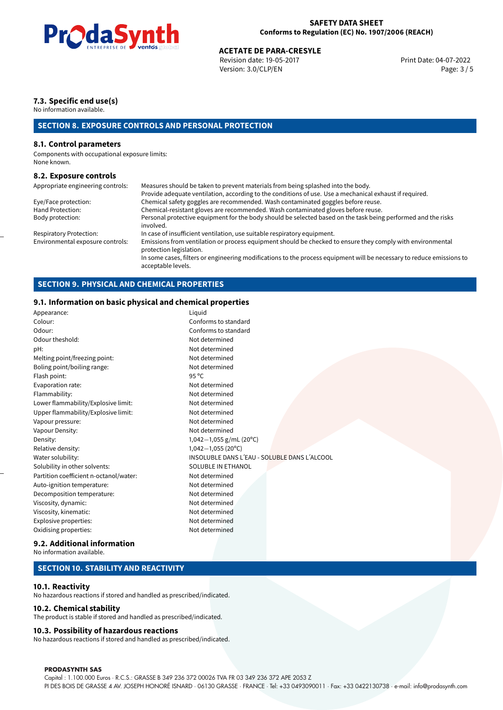

# **ACETATE DE PARA-CRESYLE**<br>
Revision date: 19-05-2017<br> **Aces Aces Aces Aces Aces Aces Aces Aces Aces Aces Aces Aces Aces Aces Aces Aces Aces Aces Aces Aces Aces Aces Aces Aces**

Revision date: 19-05-2017 Version: 3.0/CLP/EN Page: 3 / 5

# **7.3. Specific end use(s)**

No information available.

# **SECTION 8. EXPOSURE CONTROLS AND PERSONAL PROTECTION**

#### **8.1. Control parameters**

Components with occupational exposure limits: None known.

#### **8.2. Exposure controls**

| Appropriate engineering controls: | Measures should be taken to prevent materials from being splashed into the body.                                                            |
|-----------------------------------|---------------------------------------------------------------------------------------------------------------------------------------------|
|                                   | Provide adequate ventilation, according to the conditions of use. Use a mechanical exhaust if required.                                     |
| Eye/Face protection:              | Chemical safety goggles are recommended. Wash contaminated goggles before reuse.                                                            |
| Hand Protection:                  | Chemical-resistant gloves are recommended. Wash contaminated gloves before reuse.                                                           |
| Body protection:                  | Personal protective equipment for the body should be selected based on the task being performed and the risks<br>involved.                  |
| Respiratory Protection:           | In case of insufficient ventilation, use suitable respiratory equipment.                                                                    |
| Environmental exposure controls:  | Emissions from ventilation or process equipment should be checked to ensure they comply with environmental<br>protection legislation.       |
|                                   | In some cases, filters or engineering modifications to the process equipment will be necessary to reduce emissions to<br>acceptable levels. |

# **SECTION 9. PHYSICAL AND CHEMICAL PROPERTIES**

### **9.1. Information on basic physical and chemical properties**

| Appearance:                            | Liquid                                       |
|----------------------------------------|----------------------------------------------|
| Colour:                                | Conforms to standard                         |
| Odour:                                 | Conforms to standard                         |
| Odour theshold:                        | Not determined                               |
| pH:                                    | Not determined                               |
| Melting point/freezing point:          | Not determined                               |
| Boling point/boiling range:            | Not determined                               |
| Flash point:                           | 95 °C                                        |
| Evaporation rate:                      | Not determined                               |
| Flammability:                          | Not determined                               |
| Lower flammability/Explosive limit:    | Not determined                               |
| Upper flammability/Explosive limit:    | Not determined                               |
| Vapour pressure:                       | Not determined                               |
| Vapour Density:                        | Not determined                               |
| Density:                               | 1,042-1,055 g/mL (20°C)                      |
| Relative density:                      | $1,042-1,055(20°C)$                          |
| Water solubility:                      | INSOLUBLE DANS L'EAU - SOLUBLE DANS L'ALCOOL |
| Solubility in other solvents:          | SOLUBLE IN ETHANOL                           |
| Partition coefficient n-octanol/water: | Not determined                               |
| Auto-ignition temperature:             | Not determined                               |
| Decomposition temperature:             | Not determined                               |
| Viscosity, dynamic:                    | Not determined                               |
| Viscosity, kinematic:                  | Not determined                               |
| Explosive properties:                  | Not determined                               |
| Oxidising properties:                  | Not determined                               |
|                                        |                                              |

#### **9.2. Additional information**

No information available.

# **SECTION 10. STABILITY AND REACTIVITY**

#### **10.1. Reactivity**

No hazardous reactions if stored and handled as prescribed/indicated.

#### **10.2. Chemical stability**

The product is stable if stored and handled as prescribed/indicated.

#### **10.3. Possibility of hazardous reactions**

No hazardous reactions if stored and handled as prescribed/indicated.

#### **PRODASYNTH SAS**

Capital : 1.100.000 Euros · R.C.S.: GRASSE B 349 236 372 00026 TVA FR 03 349 236 372 APE 2053 Z PI DES BOIS DE GRASSE 4 AV. JOSEPH HONORÉ ISNARD · 06130 GRASSE · FRANCE · Tel: +33 0493090011 · Fax: +33 0422130738 · e-mail: info@prodasynth.com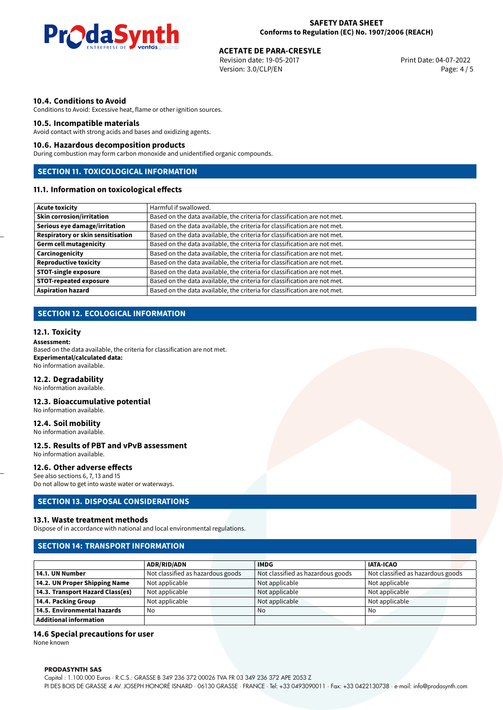

# **ACETATE DE PARA-CRESYLE**<br>
Revision date: 19-05-2017<br> **Print Date: 04-07-2022**

Revision date: 19-05-2017 Version: 3.0/CLP/EN Page: 4 / 5

#### **10.4. Conditions to Avoid**

Conditions to Avoid: Excessive heat, flame or other ignition sources.

#### **10.5. Incompatible materials**

Avoid contact with strong acids and bases and oxidizing agents.

#### **10.6. Hazardous decomposition products**

During combustion may form carbon monoxide and unidentified organic compounds.

# **SECTION 11. TOXICOLOGICAL INFORMATION**

# **11.1. Information on toxicological effects**

| <b>Acute toxicity</b>                    | Harmful if swallowed.                                                     |
|------------------------------------------|---------------------------------------------------------------------------|
| <b>Skin corrosion/irritation</b>         | Based on the data available, the criteria for classification are not met. |
| Serious eye damage/irritation            | Based on the data available, the criteria for classification are not met. |
| <b>Respiratory or skin sensitisation</b> | Based on the data available, the criteria for classification are not met. |
| <b>Germ cell mutagenicity</b>            | Based on the data available, the criteria for classification are not met. |
| Carcinogenicity                          | Based on the data available, the criteria for classification are not met. |
| <b>Reproductive toxicity</b>             | Based on the data available, the criteria for classification are not met. |
| <b>STOT-single exposure</b>              | Based on the data available, the criteria for classification are not met. |
| <b>STOT-repeated exposure</b>            | Based on the data available, the criteria for classification are not met. |
| <b>Aspiration hazard</b>                 | Based on the data available, the criteria for classification are not met. |

# **SECTION 12. ECOLOGICAL INFORMATION**

#### **12.1. Toxicity**

#### **Assessment:**

Based on the data available, the criteria for classification are not met. **Experimental/calculated data:** No information available.

#### **12.2. Degradability**

No information available.

#### **12.3. Bioaccumulative potential**

No information available.

#### **12.4. Soil mobility**

No information available.

#### **12.5. Results of PBT and vPvB assessment** No information available.

# **12.6. Other adverse effects**

See also sections 6, 7, 13 and 15 Do not allow to get into waste water or waterways.

### **SECTION 13. DISPOSAL CONSIDERATIONS**

#### **13.1. Waste treatment methods**

Dispose of in accordance with national and local environmental regulations.

# **SECTION 14: TRANSPORT INFORMATION**

|                                  | <b>ADR/RID/ADN</b>                | <b>IMDG</b> |                                   | <b>IATA-ICAO</b>                  |
|----------------------------------|-----------------------------------|-------------|-----------------------------------|-----------------------------------|
| 14.1. UN Number                  | Not classified as hazardous goods |             | Not classified as hazardous goods | Not classified as hazardous goods |
| 14.2. UN Proper Shipping Name    | Not applicable                    |             | Not applicable                    | Not applicable                    |
| 14.3. Transport Hazard Class(es) | Not applicable                    |             | Not applicable                    | Not applicable                    |
| 14.4. Packing Group              | Not applicable                    |             | Not applicable                    | Not applicable                    |
| 14.5. Environmental hazards      | No                                | No          |                                   | No                                |
| <b>Additional information</b>    |                                   |             |                                   |                                   |

#### **14.6 Special precautions for user**

None known

#### **PRODASYNTH SAS**